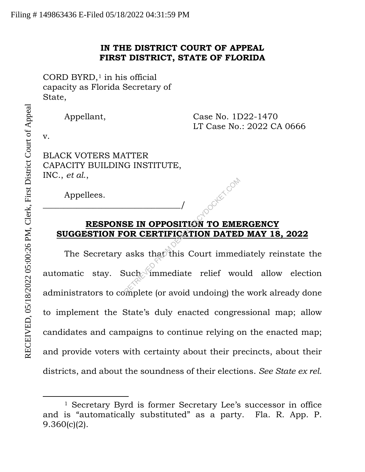## **IN THE DISTRICT COURT OF APPEAL FIRST DISTRICT, STATE OF FLORIDA**

CORD BYRD, $<sup>1</sup>$  in his official</sup> capacity as Florida Secretary of State,

Appellant, Case No. 1D22-1470 LT Case No.: 2022 CA 0666

v.

BLACK VOTERS MATTER CAPACITY BUILDING INSTITUTE, INC., *et al*.,

\_\_\_\_\_\_\_\_\_\_\_\_\_\_\_\_\_\_\_\_\_\_\_\_\_\_\_\_\_\_\_\_\_/

Appellees.

## **RESPONSE IN OPPOSITION TO EMERGENCY SUGGESTION FOR CERTIFICATION DATED MAY 18, 2022**

The Secretary asks that this Court immediately reinstate the automatic stay. Such immediate relief would allow election administrators to complete (or avoid undoing) the work already done to implement the State's duly enacted congressional map; allow candidates and campaigns to continue relying on the enacted map; and provide voters with certainty about their precincts, about their districts, and about the soundness of their elections. *See State ex rel.*  SE IN OPPOSITION TO EME<br>
OR CERTIFICATION DATEI<br>
asks that this Court immediate relief works

<sup>&</sup>lt;sup>1</sup> Secretary Byrd is former Secretary Lee's successor in office and is "automatically substituted" as a party. Fla. R. App. P. 9.360(c)(2).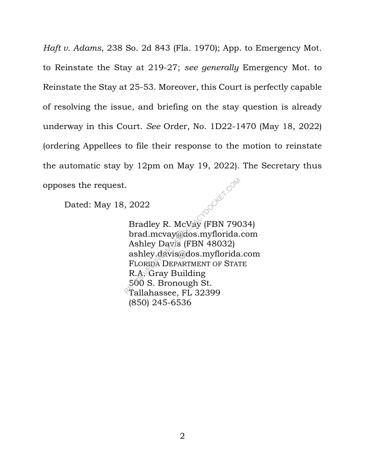*Haft v. Adams*, 238 So. 2d 843 (Fla. 1970); App. to Emergency Mot. to Reinstate the Stay at 219-27; *see generally* Emergency Mot. to Reinstate the Stay at 25-53. Moreover, this Court is perfectly capable of resolving the issue, and briefing on the stay question is already underway in this Court. *See* Order, No. 1D22-1470 (May 18, 2022) (ordering Appellees to file their response to the motion to reinstate the automatic stay by 12pm on May 19, 2022). The Secretary thus opposes the request. **HOOCKET.COM** 

Dated: May 18, 2022

Bradley R. McVay (FBN 79034) brad.mcvay@dos.myflorida.com Ashley Davis (FBN 48032) ashley.davis@dos.myflorida.com FLORIDA DEPARTMENT OF STATE R.A. Gray Building 500 S. Bronough St. Tallahassee, FL 32399 (850) 245-6536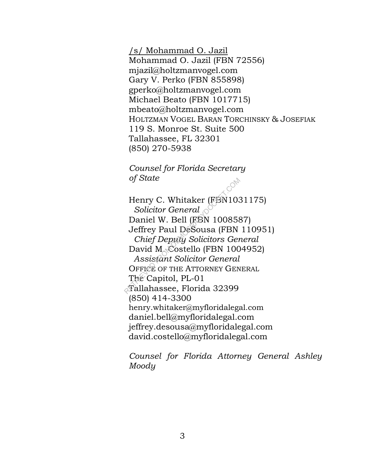/s/ Mohammad O. Jazil Mohammad O. Jazil (FBN 72556) mjazil@holtzmanvogel.com Gary V. Perko (FBN 855898) gperko@holtzmanvogel.com Michael Beato (FBN 1017715) mbeato@holtzmanvogel.com HOLTZMAN VOGEL BARAN TORCHINSKY & JOSEFIAK 119 S. Monroe St. Suite 500 Tallahassee, FL 32301 (850) 270-5938

*of State Counsel for Florida Secretary* 

Henry C. Whitaker (FBN1031175)  *Solicitor General* Daniel W. Bell (FBN 1008587) Jeffrey Paul DeSousa (FBN 110951)  *Chief Deputy Solicitors General* David M. Costello (FBN 1004952)  *Assistant Solicitor General* OFFICE OF THE ATTORNEY GENERAL The Capitol, PL-01 Tallahassee, Florida 32399 (850) 414-3300 henry.whitaker@myfloridalegal.com daniel.bell@myfloridalegal.com jeffrey.desousa@myfloridalegal.com david.costello@myfloridalegal.com of State<br>
Henry C. Whitaker (FBN103<br>
Solicitor General<br>
Daniel W. Bell (FBN 100858<br>
Jeffrey Paul DeSousa (FBN<br>
Chief Deputy Solicitors General<br>
David M. Costello (FBN 100<br>
Assistant Solicitor General<br>
OFFICE OF THE ATTORNE

*Counsel for Florida Attorney General Ashley Moody*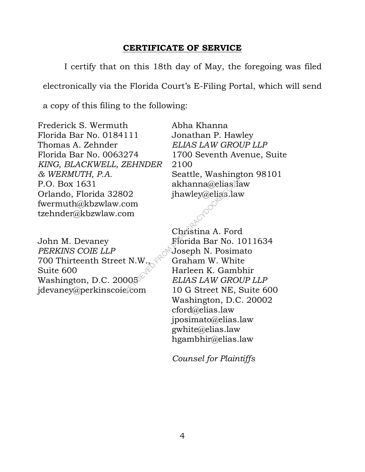## **CERTIFICATE OF SERVICE**

I certify that on this 18th day of May, the foregoing was filed electronically via the Florida Court's E-Filing Portal, which will send

a copy of this filing to the following:

Frederick S. Wermuth Florida Bar No. 0184111 Thomas A. Zehnder Florida Bar No. 0063274 *KING, BLACKWELL, ZEHNDER & WERMUTH, P.A.* P.O. Box 1631 Orlando, Florida 32802 fwermuth@kbzwlaw.com tzehnder@kbzwlaw.com

Abha Khanna Jonathan P. Hawley *ELIAS LAW GROUP LLP* 1700 Seventh Avenue, Suite 2100 Seattle, Washington 98101 akhanna@elias.law jhawley@elias.law

John M. Devaney *PERKINS COIE LLP* 700 Thirteenth Street N.W., Suite 600 Washington, D.C. 20005 jdevaney@perkinscoie.com

Christina A. Ford Florida Bar No. 1011634 Joseph N. Posimato Graham W. White Harleen K. Gambhir *ELIAS LAW GROUP LLP* 10 G Street NE, Suite 600 Washington, D.C. 20002 cford@elias.law jposimato@elias.law gwhite@elias.law hgambhir@elias.law RETRIEVED FROM DEMOCRACYDOCKET.COM

*Counsel for Plaintiffs*